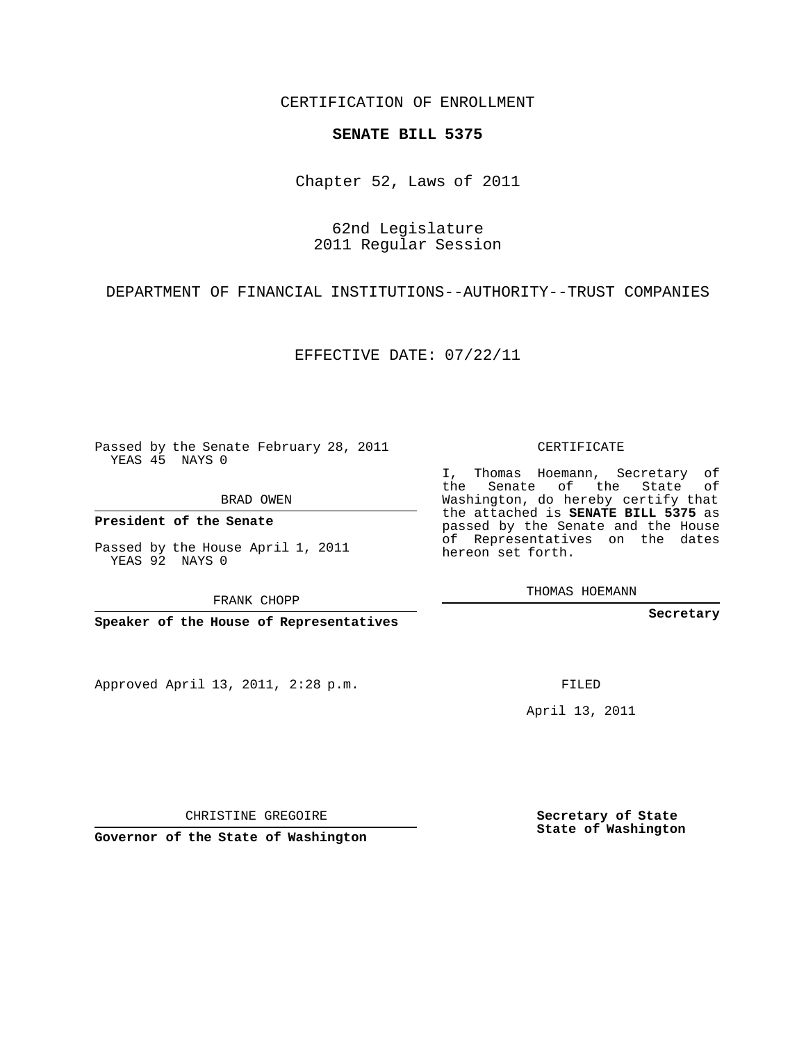CERTIFICATION OF ENROLLMENT

## **SENATE BILL 5375**

Chapter 52, Laws of 2011

62nd Legislature 2011 Regular Session

DEPARTMENT OF FINANCIAL INSTITUTIONS--AUTHORITY--TRUST COMPANIES

EFFECTIVE DATE: 07/22/11

Passed by the Senate February 28, 2011 YEAS 45 NAYS 0

BRAD OWEN

**President of the Senate**

Passed by the House April 1, 2011 YEAS 92 NAYS 0

FRANK CHOPP

**Speaker of the House of Representatives**

Approved April 13, 2011, 2:28 p.m.

CERTIFICATE

I, Thomas Hoemann, Secretary of the Senate of the State of Washington, do hereby certify that the attached is **SENATE BILL 5375** as passed by the Senate and the House of Representatives on the dates hereon set forth.

THOMAS HOEMANN

**Secretary**

FILED

April 13, 2011

CHRISTINE GREGOIRE

**Governor of the State of Washington**

**Secretary of State State of Washington**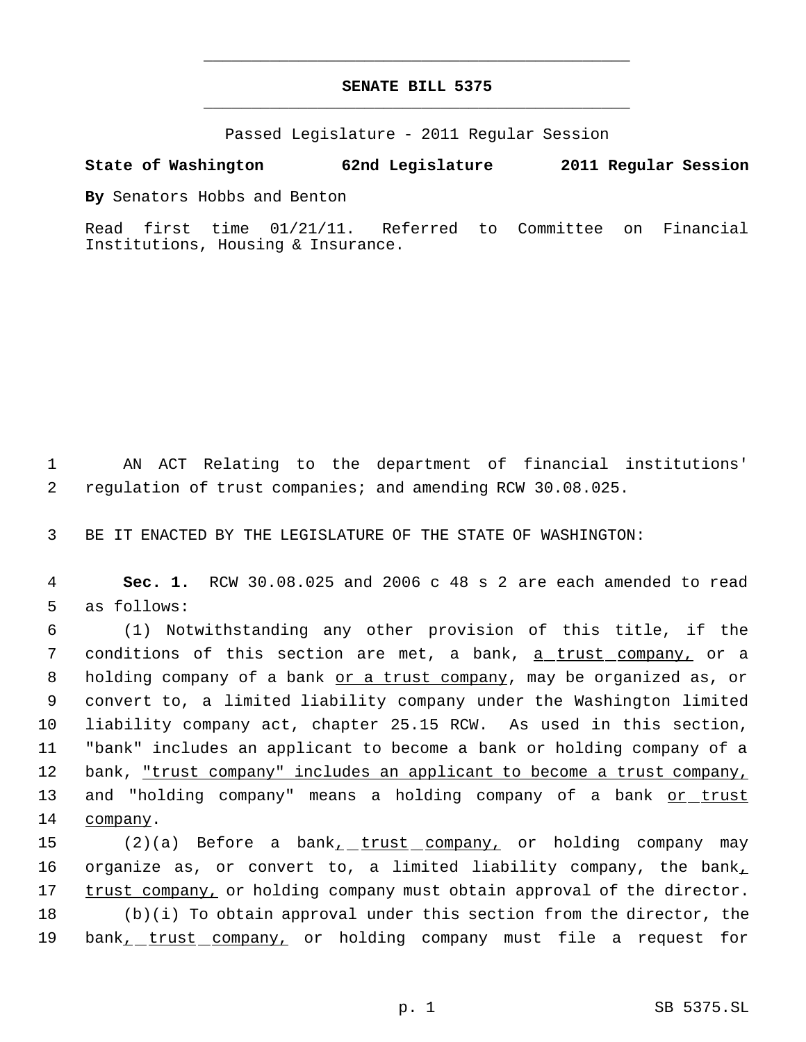## **SENATE BILL 5375** \_\_\_\_\_\_\_\_\_\_\_\_\_\_\_\_\_\_\_\_\_\_\_\_\_\_\_\_\_\_\_\_\_\_\_\_\_\_\_\_\_\_\_\_\_

\_\_\_\_\_\_\_\_\_\_\_\_\_\_\_\_\_\_\_\_\_\_\_\_\_\_\_\_\_\_\_\_\_\_\_\_\_\_\_\_\_\_\_\_\_

Passed Legislature - 2011 Regular Session

## **State of Washington 62nd Legislature 2011 Regular Session**

**By** Senators Hobbs and Benton

Read first time 01/21/11. Referred to Committee on Financial Institutions, Housing & Insurance.

 1 AN ACT Relating to the department of financial institutions' 2 regulation of trust companies; and amending RCW 30.08.025.

3 BE IT ENACTED BY THE LEGISLATURE OF THE STATE OF WASHINGTON:

 4 **Sec. 1.** RCW 30.08.025 and 2006 c 48 s 2 are each amended to read 5 as follows:

 6 (1) Notwithstanding any other provision of this title, if the 7 conditions of this section are met, a bank, <u>a trust company,</u> or a 8 holding company of a bank or a trust company, may be organized as, or 9 convert to, a limited liability company under the Washington limited 10 liability company act, chapter 25.15 RCW. As used in this section, 11 "bank" includes an applicant to become a bank or holding company of a 12 bank, <u>"trust company" includes an applicant to become a trust company,</u> 13 and "holding company" means a holding company of a bank or trust 14 company.

15 (2)(a) Before a bank<sub>1</sub> trust company, or holding company may 16 organize as, or convert to, a limited liability company, the bank<sub> $I$ </sub> 17 trust company, or holding company must obtain approval of the director. 18 (b)(i) To obtain approval under this section from the director, the 19 bank<sub>1</sub> trust company, or holding company must file a request for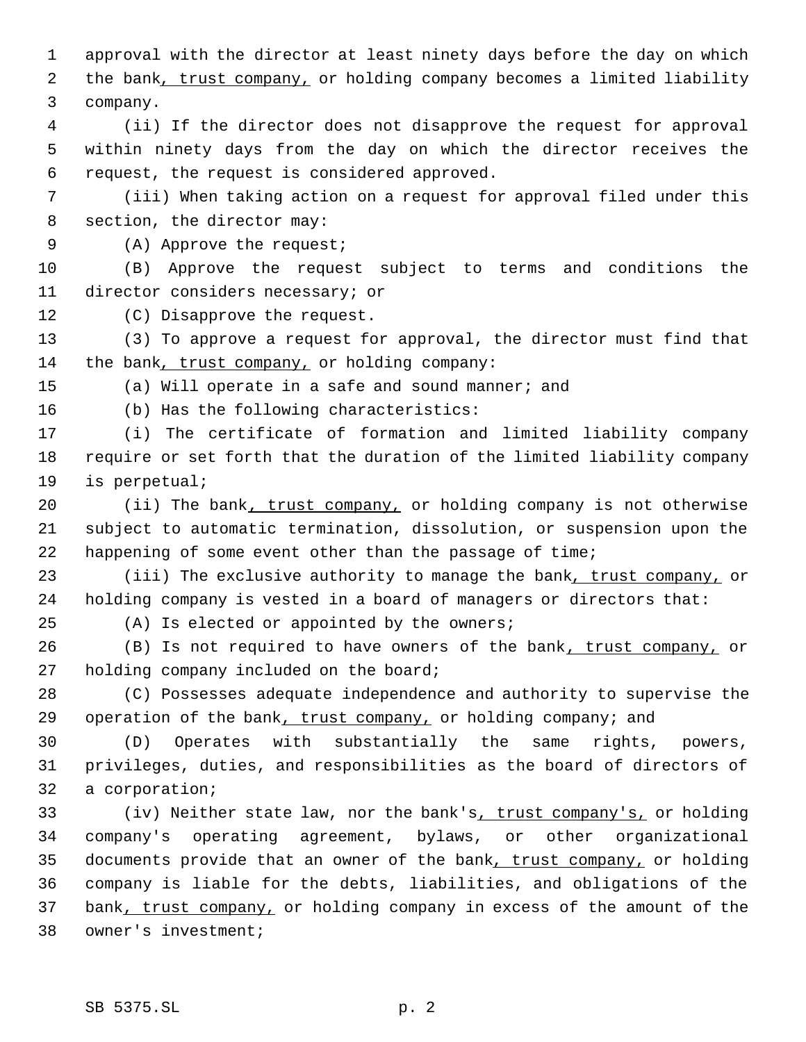approval with the director at least ninety days before the day on which 2 the bank, trust company, or holding company becomes a limited liability company.

 (ii) If the director does not disapprove the request for approval within ninety days from the day on which the director receives the request, the request is considered approved.

 (iii) When taking action on a request for approval filed under this section, the director may:

(A) Approve the request;

 (B) Approve the request subject to terms and conditions the director considers necessary; or

(C) Disapprove the request.

 (3) To approve a request for approval, the director must find that the bank, trust company, or holding company:

(a) Will operate in a safe and sound manner; and

(b) Has the following characteristics:

 (i) The certificate of formation and limited liability company require or set forth that the duration of the limited liability company is perpetual;

20 (ii) The bank, trust company, or holding company is not otherwise subject to automatic termination, dissolution, or suspension upon the happening of some event other than the passage of time;

23 (iii) The exclusive authority to manage the bank, trust company, or holding company is vested in a board of managers or directors that:

(A) Is elected or appointed by the owners;

26 (B) Is not required to have owners of the bank, trust company, or holding company included on the board;

 (C) Possesses adequate independence and authority to supervise the 29 operation of the bank, trust company, or holding company; and

 (D) Operates with substantially the same rights, powers, privileges, duties, and responsibilities as the board of directors of a corporation;

 (iv) Neither state law, nor the bank's, trust company's, or holding company's operating agreement, bylaws, or other organizational 35 documents provide that an owner of the bank, trust company, or holding company is liable for the debts, liabilities, and obligations of the 37 bank, trust company, or holding company in excess of the amount of the owner's investment;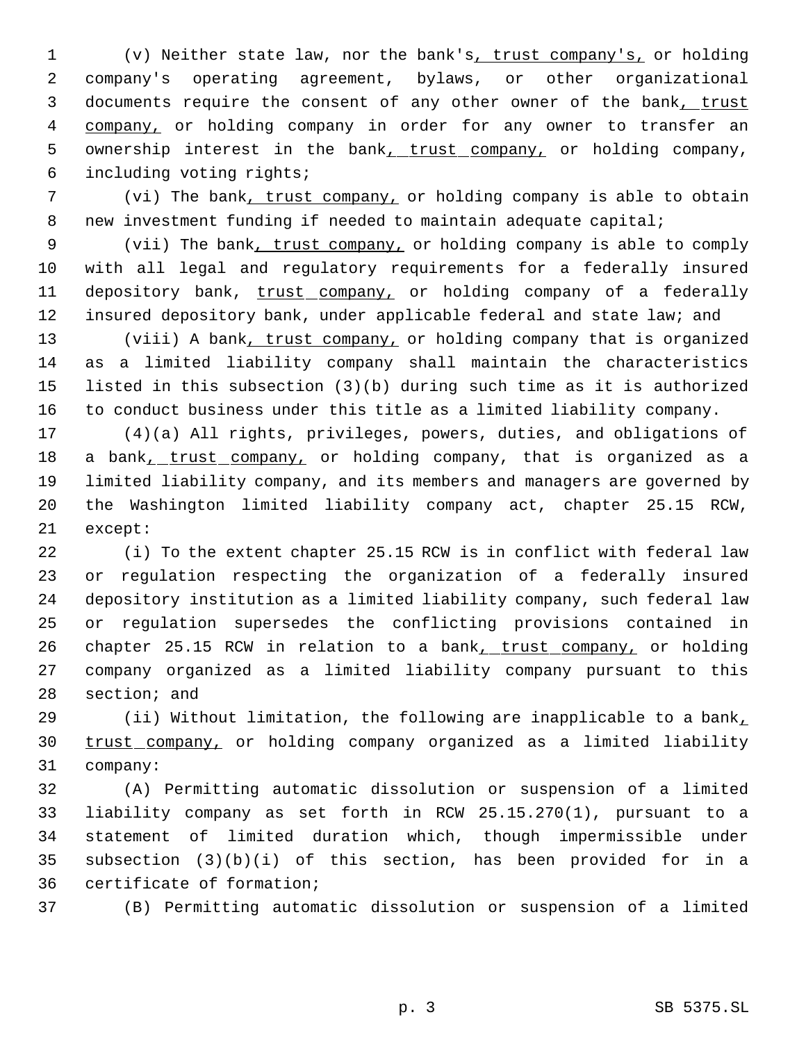(v) Neither state law, nor the bank's, trust company's, or holding company's operating agreement, bylaws, or other organizational 3 documents require the consent of any other owner of the bank, trust 4 company, or holding company in order for any owner to transfer an 5 ownership interest in the bank<sub>1</sub> trust company, or holding company, including voting rights;

 (vi) The bank, trust company, or holding company is able to obtain new investment funding if needed to maintain adequate capital;

 (vii) The bank, trust company, or holding company is able to comply with all legal and regulatory requirements for a federally insured 11 depository bank, trust company, or holding company of a federally 12 insured depository bank, under applicable federal and state law; and

13 (viii) A bank, trust company, or holding company that is organized as a limited liability company shall maintain the characteristics listed in this subsection (3)(b) during such time as it is authorized to conduct business under this title as a limited liability company.

 (4)(a) All rights, privileges, powers, duties, and obligations of 18 a bank, trust company, or holding company, that is organized as a limited liability company, and its members and managers are governed by the Washington limited liability company act, chapter 25.15 RCW, except:

 (i) To the extent chapter 25.15 RCW is in conflict with federal law or regulation respecting the organization of a federally insured depository institution as a limited liability company, such federal law or regulation supersedes the conflicting provisions contained in 26 chapter 25.15 RCW in relation to a bank, trust company, or holding company organized as a limited liability company pursuant to this section; and

 (ii) Without limitation, the following are inapplicable to a bank, 30 trust company, or holding company organized as a limited liability company:

 (A) Permitting automatic dissolution or suspension of a limited liability company as set forth in RCW 25.15.270(1), pursuant to a statement of limited duration which, though impermissible under subsection (3)(b)(i) of this section, has been provided for in a certificate of formation;

(B) Permitting automatic dissolution or suspension of a limited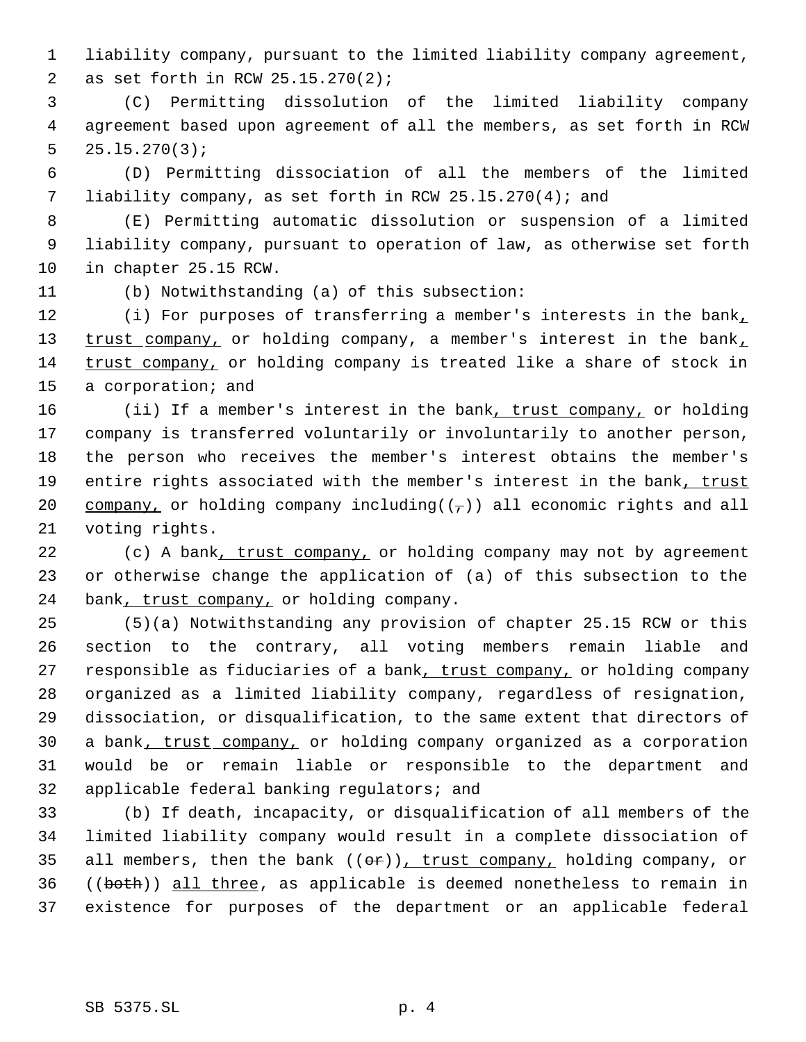liability company, pursuant to the limited liability company agreement, as set forth in RCW 25.15.270(2);

 (C) Permitting dissolution of the limited liability company agreement based upon agreement of all the members, as set forth in RCW 25.l5.270(3);

 (D) Permitting dissociation of all the members of the limited liability company, as set forth in RCW 25.l5.270(4); and

 (E) Permitting automatic dissolution or suspension of a limited liability company, pursuant to operation of law, as otherwise set forth in chapter 25.15 RCW.

(b) Notwithstanding (a) of this subsection:

 (i) For purposes of transferring a member's interests in the bank, 13 trust company, or holding company, a member's interest in the bank, 14 trust company, or holding company is treated like a share of stock in a corporation; and

16 (ii) If a member's interest in the bank, trust company, or holding company is transferred voluntarily or involuntarily to another person, the person who receives the member's interest obtains the member's 19 entire rights associated with the member's interest in the bank, trust 20 company, or holding company including( $(\tau)$ ) all economic rights and all voting rights.

22 (c) A bank, trust company, or holding company may not by agreement or otherwise change the application of (a) of this subsection to the 24 bank, trust company, or holding company.

 (5)(a) Notwithstanding any provision of chapter 25.15 RCW or this section to the contrary, all voting members remain liable and 27 responsible as fiduciaries of a bank, trust company, or holding company organized as a limited liability company, regardless of resignation, dissociation, or disqualification, to the same extent that directors of 30 a bank, trust company, or holding company organized as a corporation would be or remain liable or responsible to the department and applicable federal banking regulators; and

 (b) If death, incapacity, or disqualification of all members of the limited liability company would result in a complete dissociation of 35 all members, then the bank  $((\theta \hat{r}))$ , trust company, holding company, or ((both)) all three, as applicable is deemed nonetheless to remain in existence for purposes of the department or an applicable federal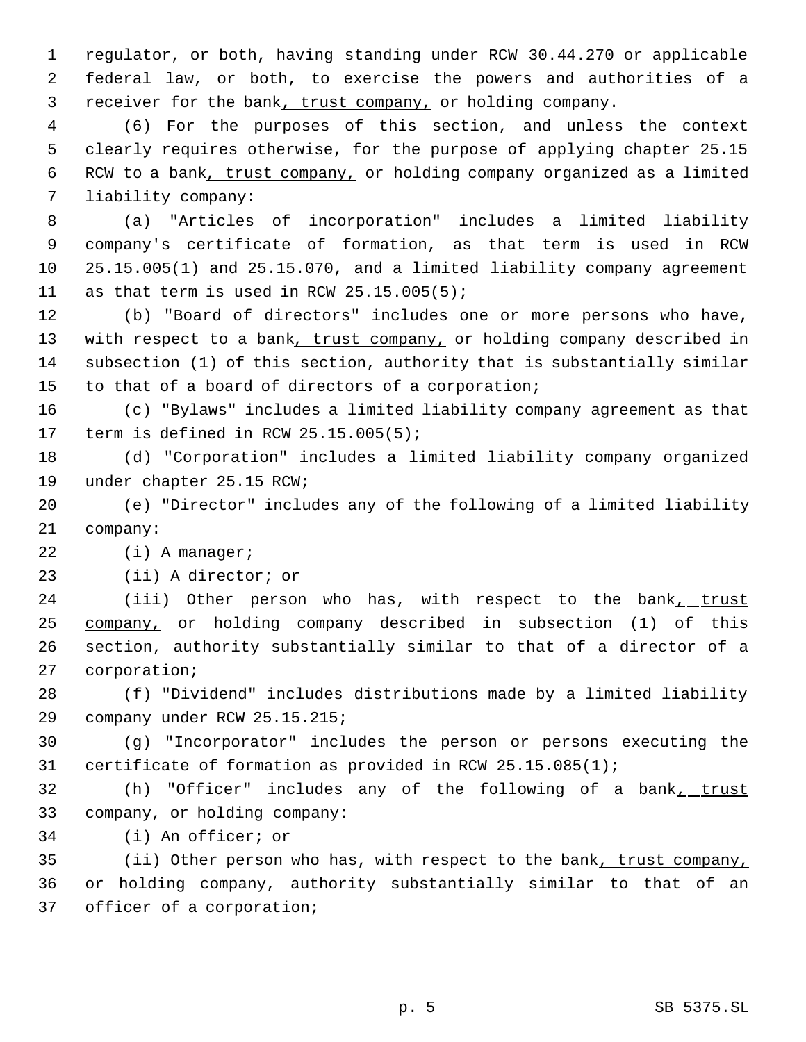regulator, or both, having standing under RCW 30.44.270 or applicable federal law, or both, to exercise the powers and authorities of a 3 receiver for the bank, trust company, or holding company.

 (6) For the purposes of this section, and unless the context clearly requires otherwise, for the purpose of applying chapter 25.15 RCW to a bank, trust company, or holding company organized as a limited liability company:

 (a) "Articles of incorporation" includes a limited liability company's certificate of formation, as that term is used in RCW 25.15.005(1) and 25.15.070, and a limited liability company agreement 11 as that term is used in RCW 25.15.005(5);

 (b) "Board of directors" includes one or more persons who have, 13 with respect to a bank, trust company, or holding company described in subsection (1) of this section, authority that is substantially similar to that of a board of directors of a corporation;

 (c) "Bylaws" includes a limited liability company agreement as that term is defined in RCW 25.15.005(5);

 (d) "Corporation" includes a limited liability company organized under chapter 25.15 RCW;

 (e) "Director" includes any of the following of a limited liability company:

22 (i) A manager;

(ii) A director; or

24 (iii) Other person who has, with respect to the bank<sub>1</sub> trust company, or holding company described in subsection (1) of this section, authority substantially similar to that of a director of a corporation;

 (f) "Dividend" includes distributions made by a limited liability company under RCW 25.15.215;

 (g) "Incorporator" includes the person or persons executing the certificate of formation as provided in RCW 25.15.085(1);

32 (h) "Officer" includes any of the following of a bank<sub>1</sub> trust company, or holding company:

(i) An officer; or

35 (ii) Other person who has, with respect to the bank, trust company, or holding company, authority substantially similar to that of an officer of a corporation;